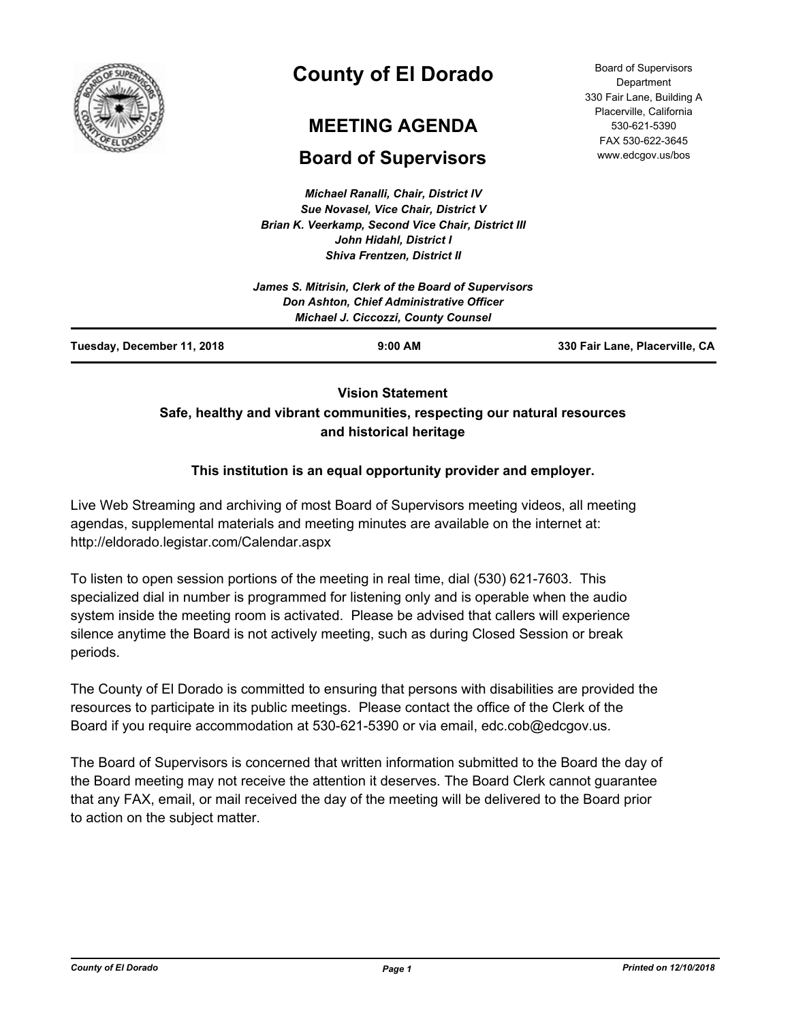

# **County of El Dorado**

## **MEETING AGENDA**

## **Board of Supervisors**

*Michael Ranalli, Chair, District IV Sue Novasel, Vice Chair, District V Brian K. Veerkamp, Second Vice Chair, District III John Hidahl, District I Shiva Frentzen, District II*

Board of Supervisors **Department** 330 Fair Lane, Building A Placerville, California 530-621-5390 FAX 530-622-3645 www.edcgov.us/bos

| Tuesday, December 11, 2018 | $9:00$ AM                                                                              | 330 Fair Lane, Placerville, CA |
|----------------------------|----------------------------------------------------------------------------------------|--------------------------------|
|                            | Don Ashton, Chief Administrative Officer<br><b>Michael J. Ciccozzi, County Counsel</b> |                                |
|                            | James S. Mitrisin, Clerk of the Board of Supervisors                                   |                                |
|                            |                                                                                        |                                |

## **Vision Statement Safe, healthy and vibrant communities, respecting our natural resources and historical heritage**

## **This institution is an equal opportunity provider and employer.**

Live Web Streaming and archiving of most Board of Supervisors meeting videos, all meeting agendas, supplemental materials and meeting minutes are available on the internet at: http://eldorado.legistar.com/Calendar.aspx

To listen to open session portions of the meeting in real time, dial (530) 621-7603. This specialized dial in number is programmed for listening only and is operable when the audio system inside the meeting room is activated. Please be advised that callers will experience silence anytime the Board is not actively meeting, such as during Closed Session or break periods.

The County of El Dorado is committed to ensuring that persons with disabilities are provided the resources to participate in its public meetings. Please contact the office of the Clerk of the Board if you require accommodation at 530-621-5390 or via email, edc.cob@edcgov.us.

The Board of Supervisors is concerned that written information submitted to the Board the day of the Board meeting may not receive the attention it deserves. The Board Clerk cannot guarantee that any FAX, email, or mail received the day of the meeting will be delivered to the Board prior to action on the subject matter.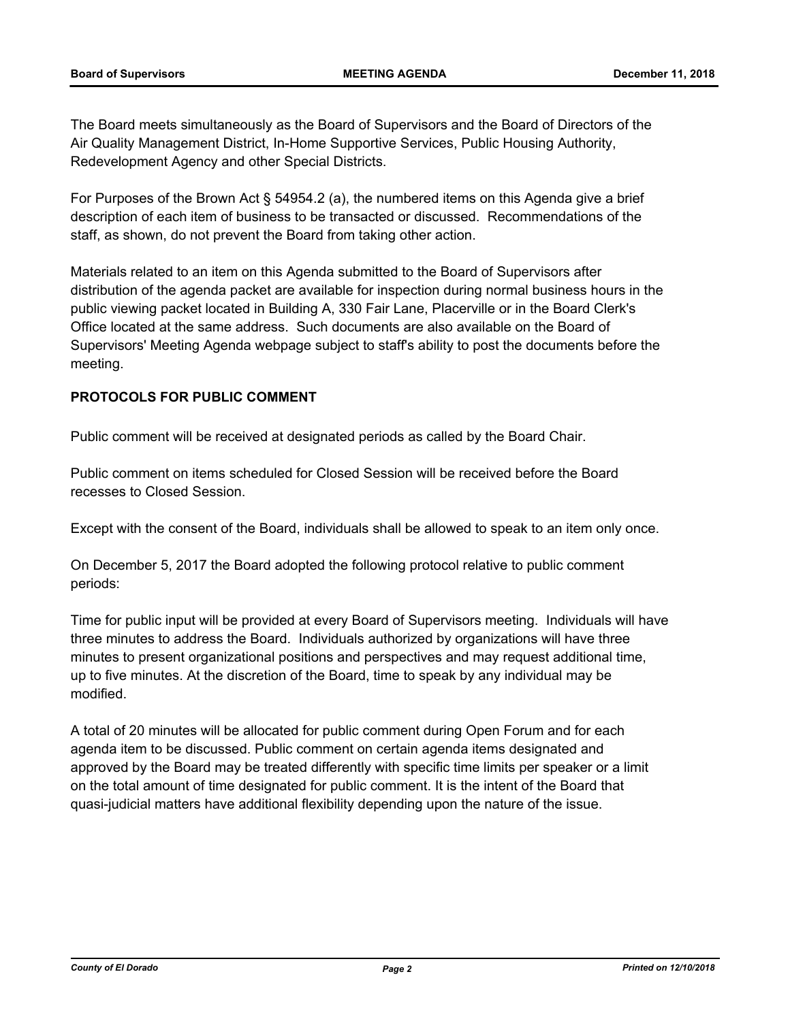The Board meets simultaneously as the Board of Supervisors and the Board of Directors of the Air Quality Management District, In-Home Supportive Services, Public Housing Authority, Redevelopment Agency and other Special Districts.

For Purposes of the Brown Act § 54954.2 (a), the numbered items on this Agenda give a brief description of each item of business to be transacted or discussed. Recommendations of the staff, as shown, do not prevent the Board from taking other action.

Materials related to an item on this Agenda submitted to the Board of Supervisors after distribution of the agenda packet are available for inspection during normal business hours in the public viewing packet located in Building A, 330 Fair Lane, Placerville or in the Board Clerk's Office located at the same address. Such documents are also available on the Board of Supervisors' Meeting Agenda webpage subject to staff's ability to post the documents before the meeting.

## **PROTOCOLS FOR PUBLIC COMMENT**

Public comment will be received at designated periods as called by the Board Chair.

Public comment on items scheduled for Closed Session will be received before the Board recesses to Closed Session.

Except with the consent of the Board, individuals shall be allowed to speak to an item only once.

On December 5, 2017 the Board adopted the following protocol relative to public comment periods:

Time for public input will be provided at every Board of Supervisors meeting. Individuals will have three minutes to address the Board. Individuals authorized by organizations will have three minutes to present organizational positions and perspectives and may request additional time, up to five minutes. At the discretion of the Board, time to speak by any individual may be modified.

A total of 20 minutes will be allocated for public comment during Open Forum and for each agenda item to be discussed. Public comment on certain agenda items designated and approved by the Board may be treated differently with specific time limits per speaker or a limit on the total amount of time designated for public comment. It is the intent of the Board that quasi-judicial matters have additional flexibility depending upon the nature of the issue.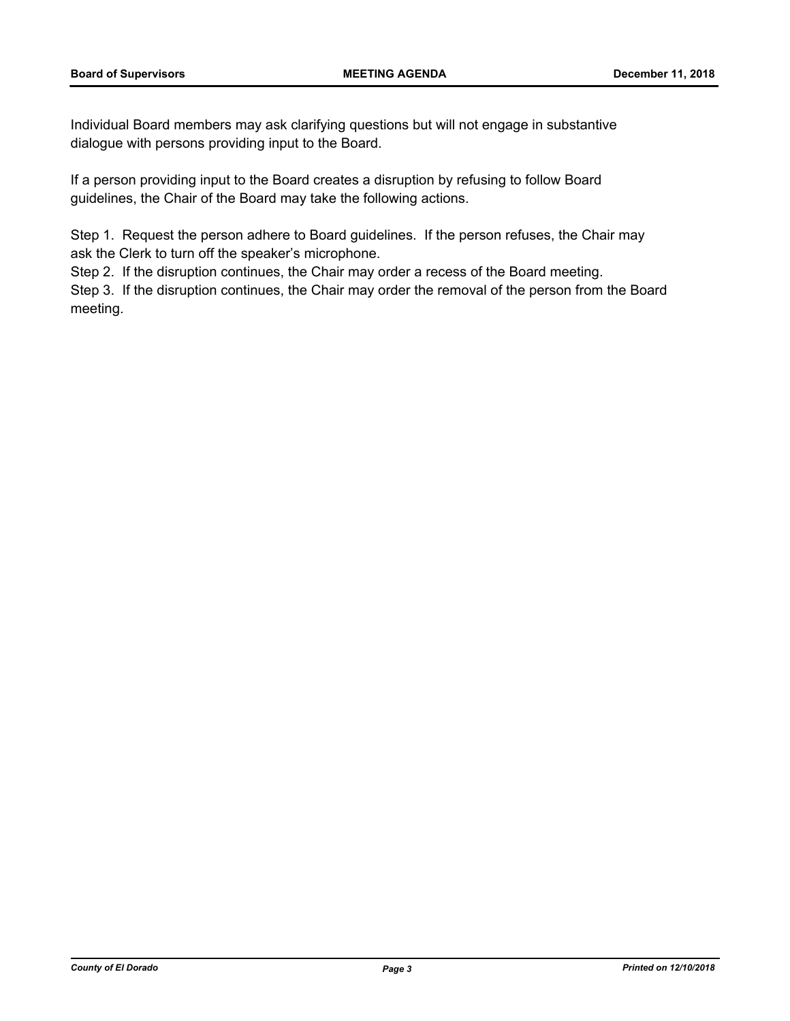Individual Board members may ask clarifying questions but will not engage in substantive dialogue with persons providing input to the Board.

If a person providing input to the Board creates a disruption by refusing to follow Board guidelines, the Chair of the Board may take the following actions.

Step 1. Request the person adhere to Board guidelines. If the person refuses, the Chair may ask the Clerk to turn off the speaker's microphone.

Step 2. If the disruption continues, the Chair may order a recess of the Board meeting.

Step 3. If the disruption continues, the Chair may order the removal of the person from the Board meeting.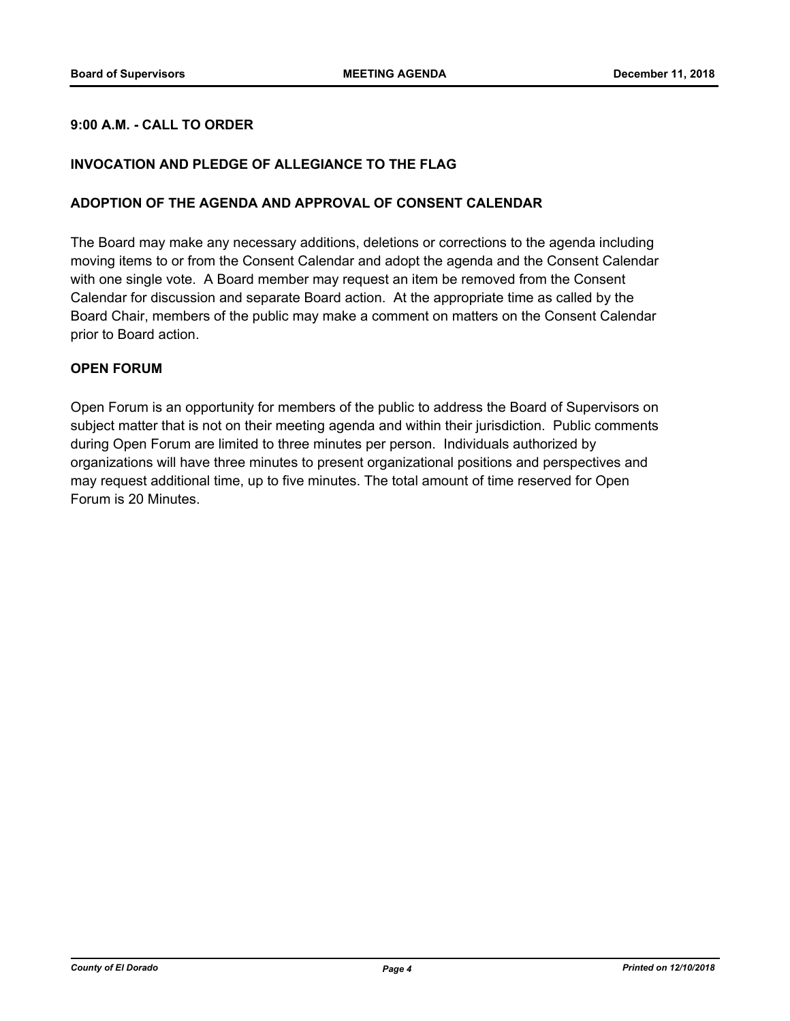## **9:00 A.M. - CALL TO ORDER**

#### **INVOCATION AND PLEDGE OF ALLEGIANCE TO THE FLAG**

#### **ADOPTION OF THE AGENDA AND APPROVAL OF CONSENT CALENDAR**

The Board may make any necessary additions, deletions or corrections to the agenda including moving items to or from the Consent Calendar and adopt the agenda and the Consent Calendar with one single vote. A Board member may request an item be removed from the Consent Calendar for discussion and separate Board action. At the appropriate time as called by the Board Chair, members of the public may make a comment on matters on the Consent Calendar prior to Board action.

#### **OPEN FORUM**

Open Forum is an opportunity for members of the public to address the Board of Supervisors on subject matter that is not on their meeting agenda and within their jurisdiction. Public comments during Open Forum are limited to three minutes per person. Individuals authorized by organizations will have three minutes to present organizational positions and perspectives and may request additional time, up to five minutes. The total amount of time reserved for Open Forum is 20 Minutes.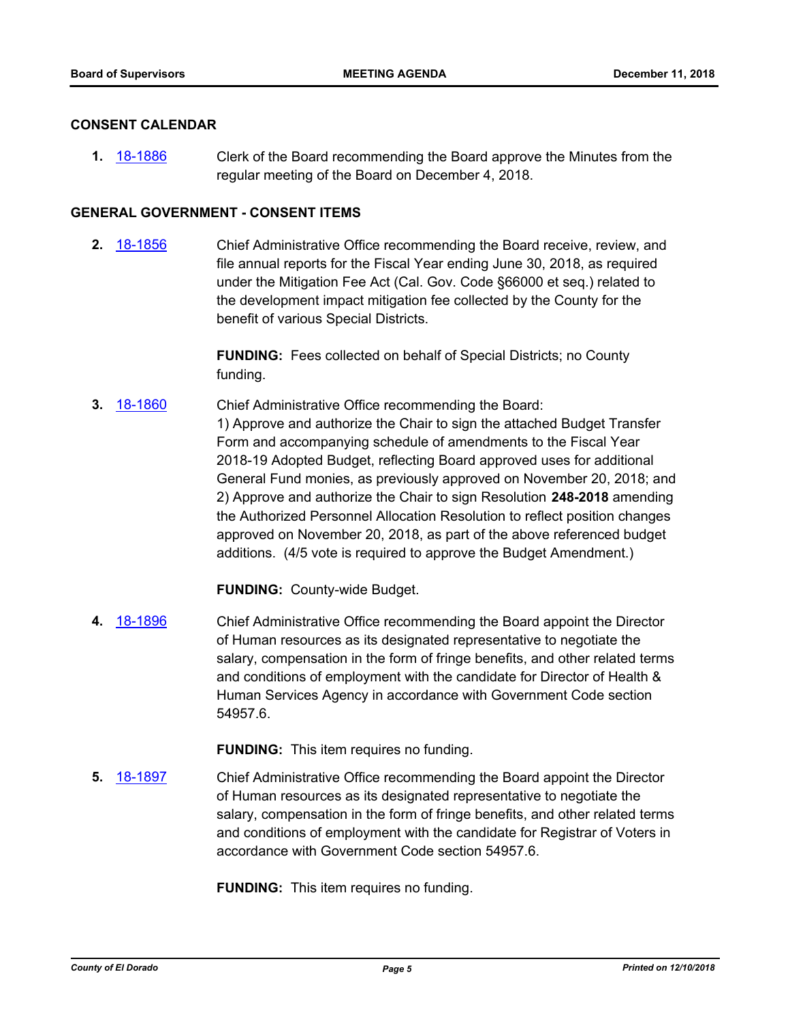#### **CONSENT CALENDAR**

**1.** [18-1886](http://eldorado.legistar.com/gateway.aspx?m=l&id=/matter.aspx?key=25236) Clerk of the Board recommending the Board approve the Minutes from the regular meeting of the Board on December 4, 2018.

## **GENERAL GOVERNMENT - CONSENT ITEMS**

**2.** [18-1856](http://eldorado.legistar.com/gateway.aspx?m=l&id=/matter.aspx?key=25206) Chief Administrative Office recommending the Board receive, review, and file annual reports for the Fiscal Year ending June 30, 2018, as required under the Mitigation Fee Act (Cal. Gov. Code §66000 et seq.) related to the development impact mitigation fee collected by the County for the benefit of various Special Districts.

> **FUNDING:** Fees collected on behalf of Special Districts; no County funding.

**3.** [18-1860](http://eldorado.legistar.com/gateway.aspx?m=l&id=/matter.aspx?key=25210) Chief Administrative Office recommending the Board: 1) Approve and authorize the Chair to sign the attached Budget Transfer Form and accompanying schedule of amendments to the Fiscal Year 2018-19 Adopted Budget, reflecting Board approved uses for additional General Fund monies, as previously approved on November 20, 2018; and 2) Approve and authorize the Chair to sign Resolution **248-2018** amending the Authorized Personnel Allocation Resolution to reflect position changes approved on November 20, 2018, as part of the above referenced budget additions. (4/5 vote is required to approve the Budget Amendment.)

**FUNDING:** County-wide Budget.

**4.** [18-1896](http://eldorado.legistar.com/gateway.aspx?m=l&id=/matter.aspx?key=25246) Chief Administrative Office recommending the Board appoint the Director of Human resources as its designated representative to negotiate the salary, compensation in the form of fringe benefits, and other related terms and conditions of employment with the candidate for Director of Health & Human Services Agency in accordance with Government Code section 54957.6.

**FUNDING:** This item requires no funding.

**5.** [18-1897](http://eldorado.legistar.com/gateway.aspx?m=l&id=/matter.aspx?key=25247) Chief Administrative Office recommending the Board appoint the Director of Human resources as its designated representative to negotiate the salary, compensation in the form of fringe benefits, and other related terms and conditions of employment with the candidate for Registrar of Voters in accordance with Government Code section 54957.6.

**FUNDING:** This item requires no funding.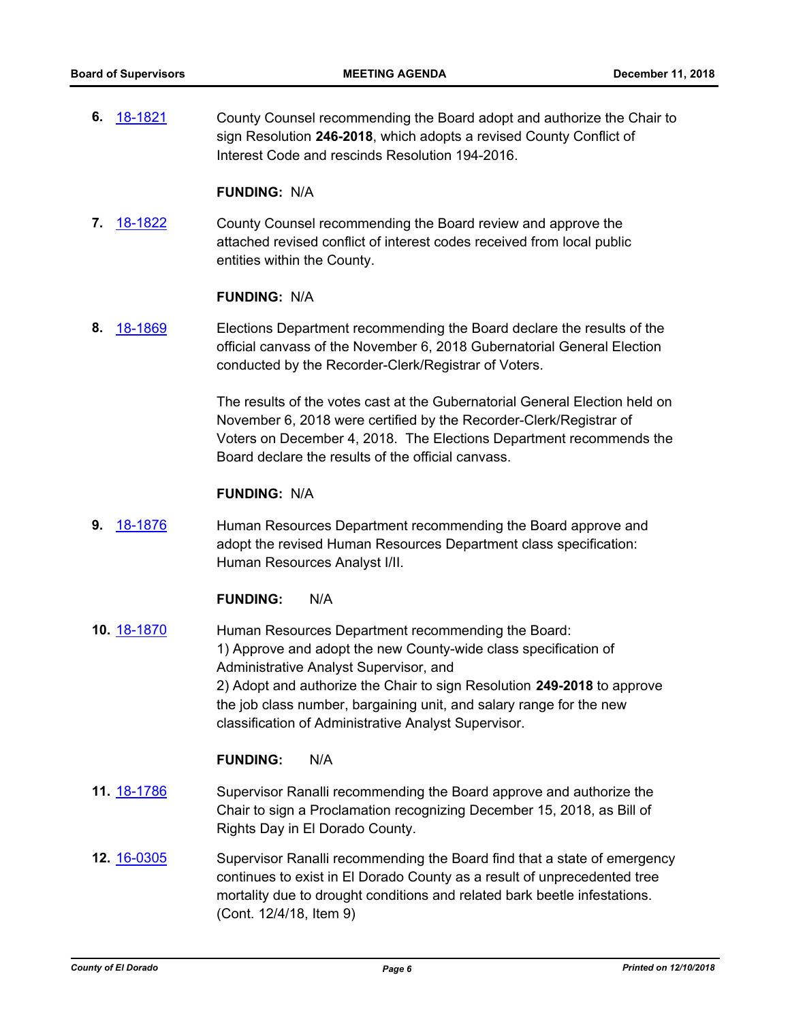**6.** [18-1821](http://eldorado.legistar.com/gateway.aspx?m=l&id=/matter.aspx?key=25172) County Counsel recommending the Board adopt and authorize the Chair to sign Resolution **246-2018**, which adopts a revised County Conflict of Interest Code and rescinds Resolution 194-2016.

#### **FUNDING:** N/A

**7.** [18-1822](http://eldorado.legistar.com/gateway.aspx?m=l&id=/matter.aspx?key=25173) County Counsel recommending the Board review and approve the attached revised conflict of interest codes received from local public entities within the County.

#### **FUNDING:** N/A

**8.** [18-1869](http://eldorado.legistar.com/gateway.aspx?m=l&id=/matter.aspx?key=25219) Elections Department recommending the Board declare the results of the official canvass of the November 6, 2018 Gubernatorial General Election conducted by the Recorder-Clerk/Registrar of Voters.

> The results of the votes cast at the Gubernatorial General Election held on November 6, 2018 were certified by the Recorder-Clerk/Registrar of Voters on December 4, 2018. The Elections Department recommends the Board declare the results of the official canvass.

#### **FUNDING:** N/A

**9.** [18-1876](http://eldorado.legistar.com/gateway.aspx?m=l&id=/matter.aspx?key=25226) Human Resources Department recommending the Board approve and adopt the revised Human Resources Department class specification: Human Resources Analyst I/II.

#### **FUNDING:** N/A

**10.** [18-1870](http://eldorado.legistar.com/gateway.aspx?m=l&id=/matter.aspx?key=25220) Human Resources Department recommending the Board: 1) Approve and adopt the new County-wide class specification of Administrative Analyst Supervisor, and 2) Adopt and authorize the Chair to sign Resolution **249-2018** to approve the job class number, bargaining unit, and salary range for the new classification of Administrative Analyst Supervisor.

#### **FUNDING:** N/A

- **11.** [18-1786](http://eldorado.legistar.com/gateway.aspx?m=l&id=/matter.aspx?key=25137) Supervisor Ranalli recommending the Board approve and authorize the Chair to sign a Proclamation recognizing December 15, 2018, as Bill of Rights Day in El Dorado County.
- **12.** [16-0305](http://eldorado.legistar.com/gateway.aspx?m=l&id=/matter.aspx?key=20961) Supervisor Ranalli recommending the Board find that a state of emergency continues to exist in El Dorado County as a result of unprecedented tree mortality due to drought conditions and related bark beetle infestations. (Cont. 12/4/18, Item 9)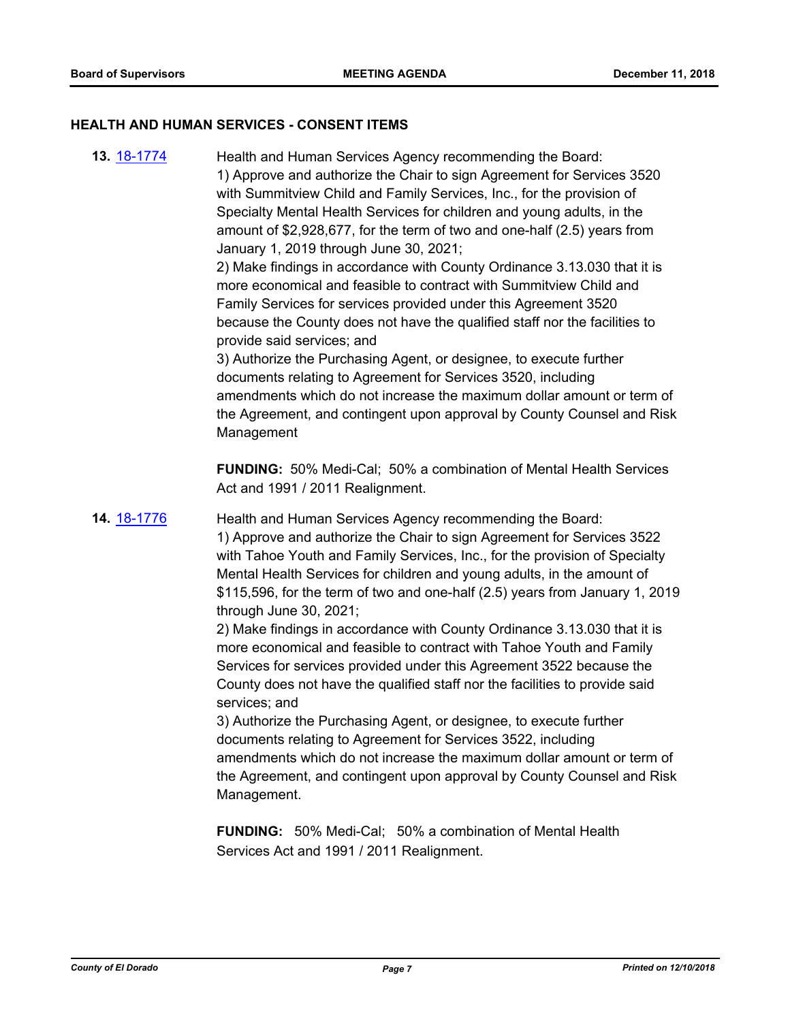#### **HEALTH AND HUMAN SERVICES - CONSENT ITEMS**

**13.** [18-1774](http://eldorado.legistar.com/gateway.aspx?m=l&id=/matter.aspx?key=25125) Health and Human Services Agency recommending the Board: 1) Approve and authorize the Chair to sign Agreement for Services 3520 with Summitview Child and Family Services, Inc., for the provision of Specialty Mental Health Services for children and young adults, in the amount of \$2,928,677, for the term of two and one-half (2.5) years from January 1, 2019 through June 30, 2021; 2) Make findings in accordance with County Ordinance 3.13.030 that it is more economical and feasible to contract with Summitview Child and Family Services for services provided under this Agreement 3520 because the County does not have the qualified staff nor the facilities to provide said services; and 3) Authorize the Purchasing Agent, or designee, to execute further documents relating to Agreement for Services 3520, including amendments which do not increase the maximum dollar amount or term of the Agreement, and contingent upon approval by County Counsel and Risk Management **FUNDING:** 50% Medi-Cal; 50% a combination of Mental Health Services Act and 1991 / 2011 Realignment. **14.** [18-1776](http://eldorado.legistar.com/gateway.aspx?m=l&id=/matter.aspx?key=25127) Health and Human Services Agency recommending the Board: 1) Approve and authorize the Chair to sign Agreement for Services 3522 with Tahoe Youth and Family Services, Inc., for the provision of Specialty Mental Health Services for children and young adults, in the amount of \$115,596, for the term of two and one-half (2.5) years from January 1, 2019 through June 30, 2021; 2) Make findings in accordance with County Ordinance 3.13.030 that it is more economical and feasible to contract with Tahoe Youth and Family Services for services provided under this Agreement 3522 because the County does not have the qualified staff nor the facilities to provide said services; and 3) Authorize the Purchasing Agent, or designee, to execute further documents relating to Agreement for Services 3522, including amendments which do not increase the maximum dollar amount or term of the Agreement, and contingent upon approval by County Counsel and Risk Management. **FUNDING:** 50% Medi-Cal; 50% a combination of Mental Health Services Act and 1991 / 2011 Realignment.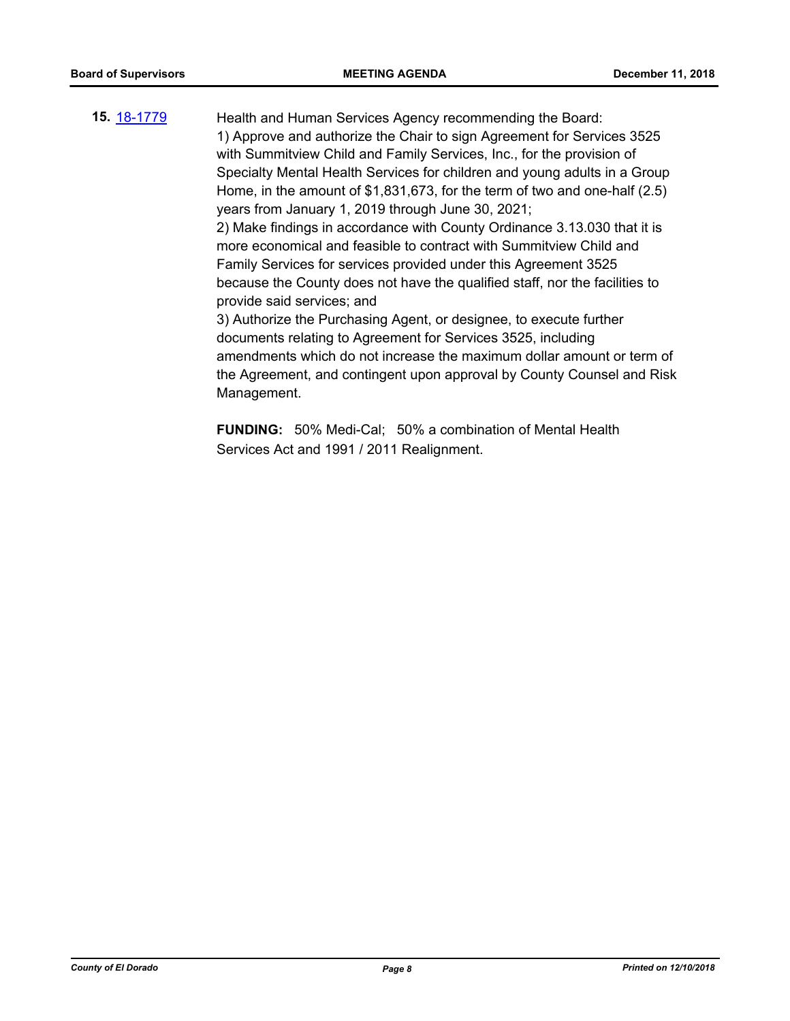**15.** [18-1779](http://eldorado.legistar.com/gateway.aspx?m=l&id=/matter.aspx?key=25130) Health and Human Services Agency recommending the Board: 1) Approve and authorize the Chair to sign Agreement for Services 3525 with Summitview Child and Family Services, Inc., for the provision of Specialty Mental Health Services for children and young adults in a Group Home, in the amount of \$1,831,673, for the term of two and one-half (2.5) years from January 1, 2019 through June 30, 2021; 2) Make findings in accordance with County Ordinance 3.13.030 that it is more economical and feasible to contract with Summitview Child and Family Services for services provided under this Agreement 3525 because the County does not have the qualified staff, nor the facilities to provide said services; and 3) Authorize the Purchasing Agent, or designee, to execute further documents relating to Agreement for Services 3525, including amendments which do not increase the maximum dollar amount or term of the Agreement, and contingent upon approval by County Counsel and Risk Management.

> **FUNDING:** 50% Medi-Cal; 50% a combination of Mental Health Services Act and 1991 / 2011 Realignment.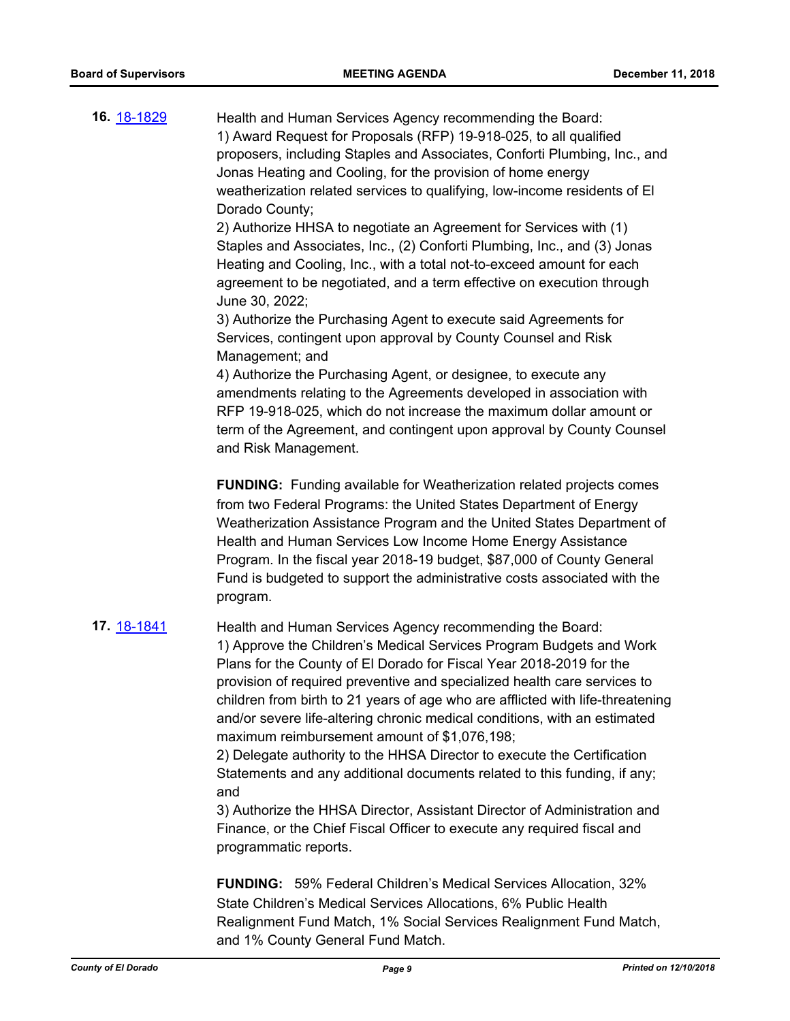| 16. <u>18-1829</u> | Health and Human Services Agency recommending the Board:<br>1) Award Request for Proposals (RFP) 19-918-025, to all qualified<br>proposers, including Staples and Associates, Conforti Plumbing, Inc., and<br>Jonas Heating and Cooling, for the provision of home energy<br>weatherization related services to qualifying, low-income residents of El<br>Dorado County;<br>2) Authorize HHSA to negotiate an Agreement for Services with (1)<br>Staples and Associates, Inc., (2) Conforti Plumbing, Inc., and (3) Jonas<br>Heating and Cooling, Inc., with a total not-to-exceed amount for each<br>agreement to be negotiated, and a term effective on execution through<br>June 30, 2022;<br>3) Authorize the Purchasing Agent to execute said Agreements for<br>Services, contingent upon approval by County Counsel and Risk<br>Management; and<br>4) Authorize the Purchasing Agent, or designee, to execute any<br>amendments relating to the Agreements developed in association with<br>RFP 19-918-025, which do not increase the maximum dollar amount or<br>term of the Agreement, and contingent upon approval by County Counsel<br>and Risk Management. |
|--------------------|-----------------------------------------------------------------------------------------------------------------------------------------------------------------------------------------------------------------------------------------------------------------------------------------------------------------------------------------------------------------------------------------------------------------------------------------------------------------------------------------------------------------------------------------------------------------------------------------------------------------------------------------------------------------------------------------------------------------------------------------------------------------------------------------------------------------------------------------------------------------------------------------------------------------------------------------------------------------------------------------------------------------------------------------------------------------------------------------------------------------------------------------------------------------------|
|                    | <b>FUNDING:</b> Funding available for Weatherization related projects comes<br>from two Federal Programs: the United States Department of Energy<br>Weatherization Assistance Program and the United States Department of<br>Health and Human Services Low Income Home Energy Assistance<br>Program. In the fiscal year 2018-19 budget, \$87,000 of County General<br>Fund is budgeted to support the administrative costs associated with the<br>program.                                                                                                                                                                                                                                                                                                                                                                                                                                                                                                                                                                                                                                                                                                            |
| 17. <u>18-1841</u> | Health and Human Services Agency recommending the Board:<br>1) Approve the Children's Medical Services Program Budgets and Work<br>Plans for the County of El Dorado for Fiscal Year 2018-2019 for the<br>provision of required preventive and specialized health care services to<br>children from birth to 21 years of age who are afflicted with life-threatening<br>and/or severe life-altering chronic medical conditions, with an estimated<br>maximum reimbursement amount of \$1,076,198;<br>2) Delegate authority to the HHSA Director to execute the Certification<br>Statements and any additional documents related to this funding, if any;<br>and<br>3) Authorize the HHSA Director, Assistant Director of Administration and<br>Finance, or the Chief Fiscal Officer to execute any required fiscal and<br>programmatic reports.                                                                                                                                                                                                                                                                                                                       |
|                    | <b>FUNDING:</b> 59% Federal Children's Medical Services Allocation, 32%                                                                                                                                                                                                                                                                                                                                                                                                                                                                                                                                                                                                                                                                                                                                                                                                                                                                                                                                                                                                                                                                                               |

State Children's Medical Services Allocations, 6% Public Health Realignment Fund Match, 1% Social Services Realignment Fund Match, and 1% County General Fund Match.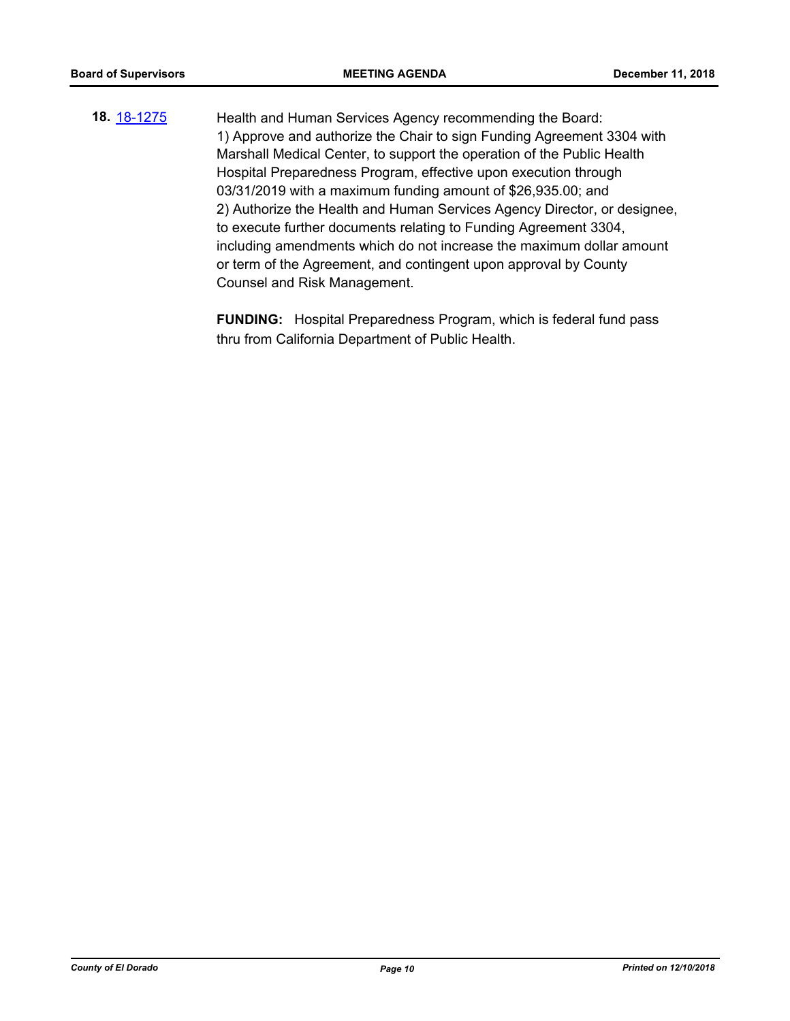**18.** [18-1275](http://eldorado.legistar.com/gateway.aspx?m=l&id=/matter.aspx?key=24626) Health and Human Services Agency recommending the Board: 1) Approve and authorize the Chair to sign Funding Agreement 3304 with Marshall Medical Center, to support the operation of the Public Health Hospital Preparedness Program, effective upon execution through 03/31/2019 with a maximum funding amount of \$26,935.00; and 2) Authorize the Health and Human Services Agency Director, or designee, to execute further documents relating to Funding Agreement 3304, including amendments which do not increase the maximum dollar amount or term of the Agreement, and contingent upon approval by County Counsel and Risk Management.

> **FUNDING:** Hospital Preparedness Program, which is federal fund pass thru from California Department of Public Health.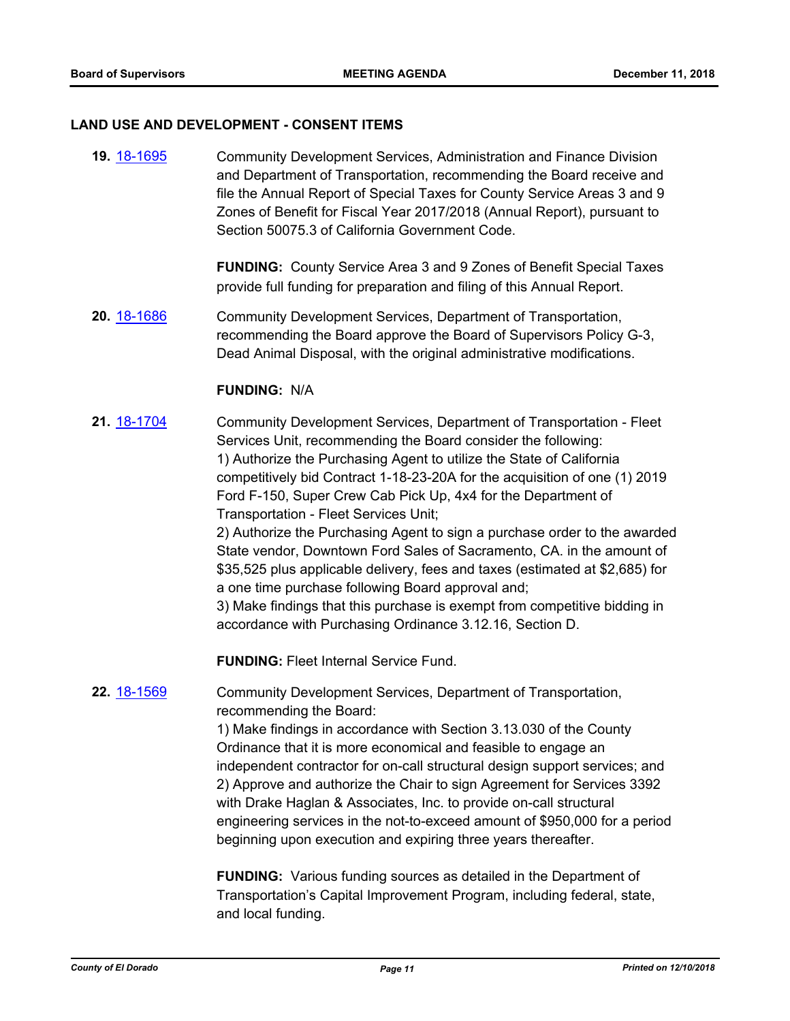#### **LAND USE AND DEVELOPMENT - CONSENT ITEMS**

**19.** [18-1695](http://eldorado.legistar.com/gateway.aspx?m=l&id=/matter.aspx?key=25046) Community Development Services, Administration and Finance Division and Department of Transportation, recommending the Board receive and file the Annual Report of Special Taxes for County Service Areas 3 and 9 Zones of Benefit for Fiscal Year 2017/2018 (Annual Report), pursuant to Section 50075.3 of California Government Code.

> **FUNDING:** County Service Area 3 and 9 Zones of Benefit Special Taxes provide full funding for preparation and filing of this Annual Report.

**20.** [18-1686](http://eldorado.legistar.com/gateway.aspx?m=l&id=/matter.aspx?key=25037) Community Development Services, Department of Transportation, recommending the Board approve the Board of Supervisors Policy G-3, Dead Animal Disposal, with the original administrative modifications.

#### **FUNDING:** N/A

**21.** [18-1704](http://eldorado.legistar.com/gateway.aspx?m=l&id=/matter.aspx?key=25055) Community Development Services, Department of Transportation - Fleet Services Unit, recommending the Board consider the following: 1) Authorize the Purchasing Agent to utilize the State of California competitively bid Contract 1-18-23-20A for the acquisition of one (1) 2019 Ford F-150, Super Crew Cab Pick Up, 4x4 for the Department of Transportation - Fleet Services Unit; 2) Authorize the Purchasing Agent to sign a purchase order to the awarded

State vendor, Downtown Ford Sales of Sacramento, CA. in the amount of \$35,525 plus applicable delivery, fees and taxes (estimated at \$2,685) for a one time purchase following Board approval and;

3) Make findings that this purchase is exempt from competitive bidding in accordance with Purchasing Ordinance 3.12.16, Section D.

**FUNDING:** Fleet Internal Service Fund.

## **22.** [18-1569](http://eldorado.legistar.com/gateway.aspx?m=l&id=/matter.aspx?key=24920) Community Development Services, Department of Transportation, recommending the Board:

1) Make findings in accordance with Section 3.13.030 of the County Ordinance that it is more economical and feasible to engage an independent contractor for on-call structural design support services; and 2) Approve and authorize the Chair to sign Agreement for Services 3392 with Drake Haglan & Associates, Inc. to provide on-call structural engineering services in the not-to-exceed amount of \$950,000 for a period beginning upon execution and expiring three years thereafter.

**FUNDING:** Various funding sources as detailed in the Department of Transportation's Capital Improvement Program, including federal, state, and local funding.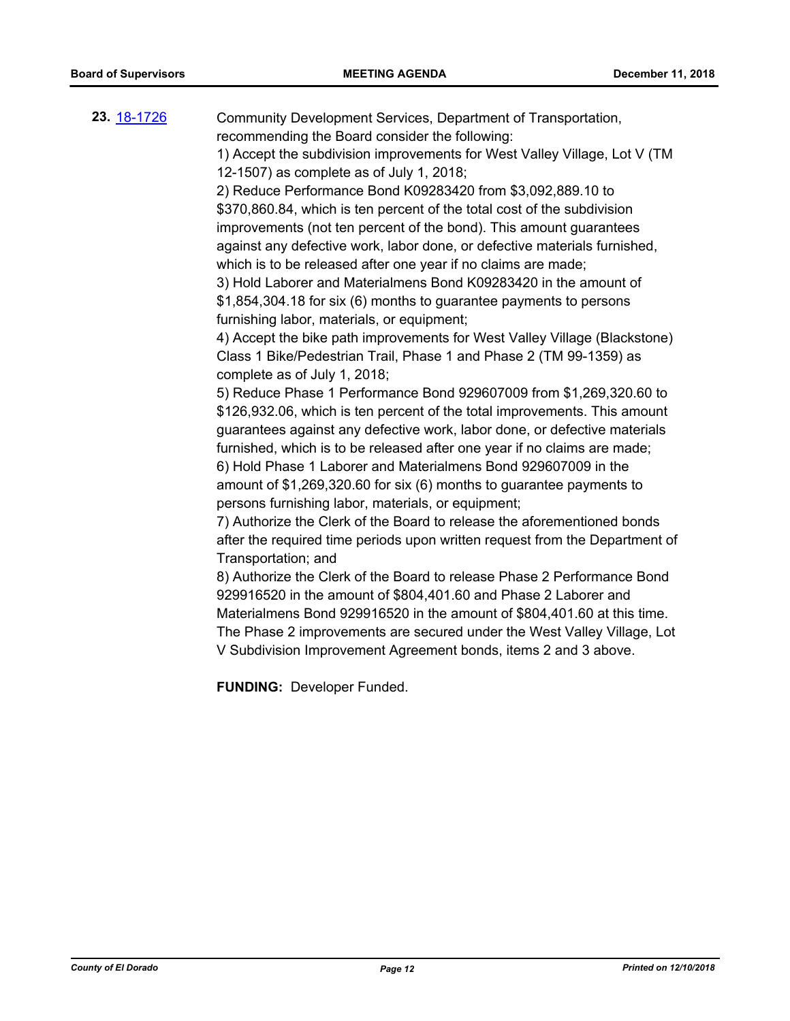**23.** [18-1726](http://eldorado.legistar.com/gateway.aspx?m=l&id=/matter.aspx?key=25077) Community Development Services, Department of Transportation, recommending the Board consider the following: 1) Accept the subdivision improvements for West Valley Village, Lot V (TM 12-1507) as complete as of July 1, 2018;

> 2) Reduce Performance Bond K09283420 from \$3,092,889.10 to \$370,860.84, which is ten percent of the total cost of the subdivision improvements (not ten percent of the bond). This amount guarantees against any defective work, labor done, or defective materials furnished, which is to be released after one year if no claims are made;

3) Hold Laborer and Materialmens Bond K09283420 in the amount of \$1,854,304.18 for six (6) months to guarantee payments to persons furnishing labor, materials, or equipment;

4) Accept the bike path improvements for West Valley Village (Blackstone) Class 1 Bike/Pedestrian Trail, Phase 1 and Phase 2 (TM 99-1359) as complete as of July 1, 2018;

5) Reduce Phase 1 Performance Bond 929607009 from \$1,269,320.60 to \$126,932.06, which is ten percent of the total improvements. This amount guarantees against any defective work, labor done, or defective materials furnished, which is to be released after one year if no claims are made; 6) Hold Phase 1 Laborer and Materialmens Bond 929607009 in the amount of \$1,269,320.60 for six (6) months to guarantee payments to persons furnishing labor, materials, or equipment;

7) Authorize the Clerk of the Board to release the aforementioned bonds after the required time periods upon written request from the Department of Transportation; and

8) Authorize the Clerk of the Board to release Phase 2 Performance Bond 929916520 in the amount of \$804,401.60 and Phase 2 Laborer and Materialmens Bond 929916520 in the amount of \$804,401.60 at this time. The Phase 2 improvements are secured under the West Valley Village, Lot V Subdivision Improvement Agreement bonds, items 2 and 3 above.

**FUNDING:** Developer Funded.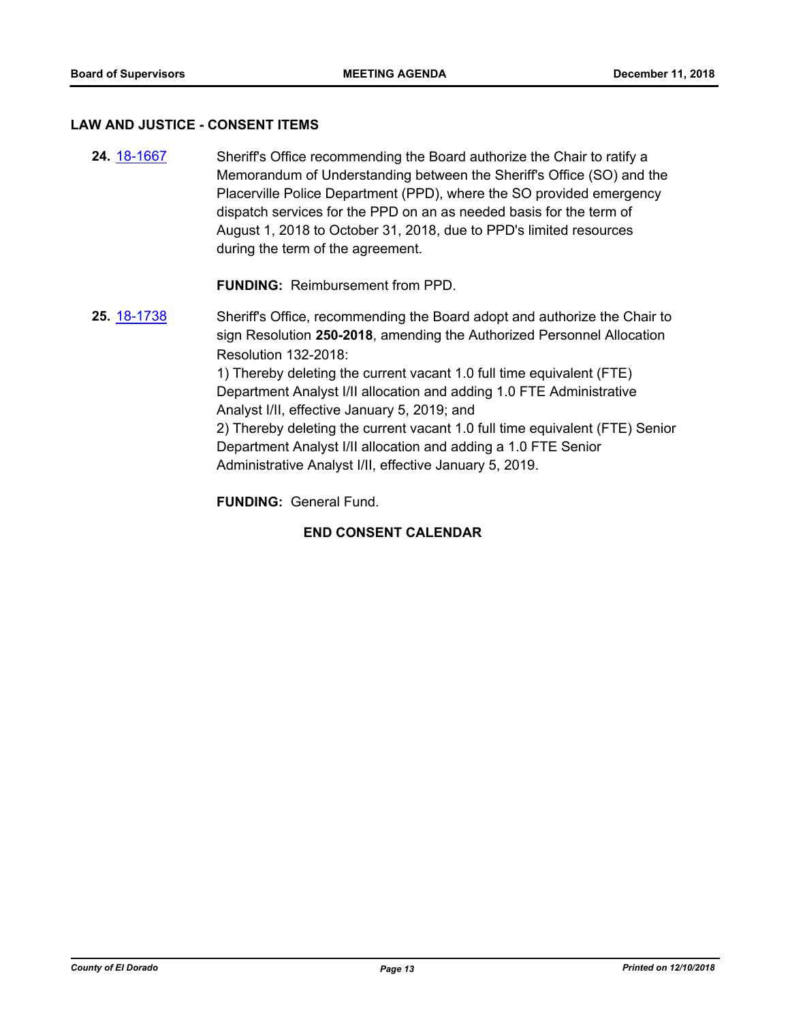#### **LAW AND JUSTICE - CONSENT ITEMS**

**24.** [18-1667](http://eldorado.legistar.com/gateway.aspx?m=l&id=/matter.aspx?key=25018) Sheriff's Office recommending the Board authorize the Chair to ratify a Memorandum of Understanding between the Sheriff's Office (SO) and the Placerville Police Department (PPD), where the SO provided emergency dispatch services for the PPD on an as needed basis for the term of August 1, 2018 to October 31, 2018, due to PPD's limited resources during the term of the agreement.

**FUNDING:** Reimbursement from PPD.

**25.** [18-1738](http://eldorado.legistar.com/gateway.aspx?m=l&id=/matter.aspx?key=25089) Sheriff's Office, recommending the Board adopt and authorize the Chair to sign Resolution **250-2018**, amending the Authorized Personnel Allocation Resolution 132-2018: 1) Thereby deleting the current vacant 1.0 full time equivalent (FTE) Department Analyst I/II allocation and adding 1.0 FTE Administrative Analyst I/II, effective January 5, 2019; and 2) Thereby deleting the current vacant 1.0 full time equivalent (FTE) Senior Department Analyst I/II allocation and adding a 1.0 FTE Senior Administrative Analyst I/II, effective January 5, 2019.

**FUNDING:** General Fund.

## **END CONSENT CALENDAR**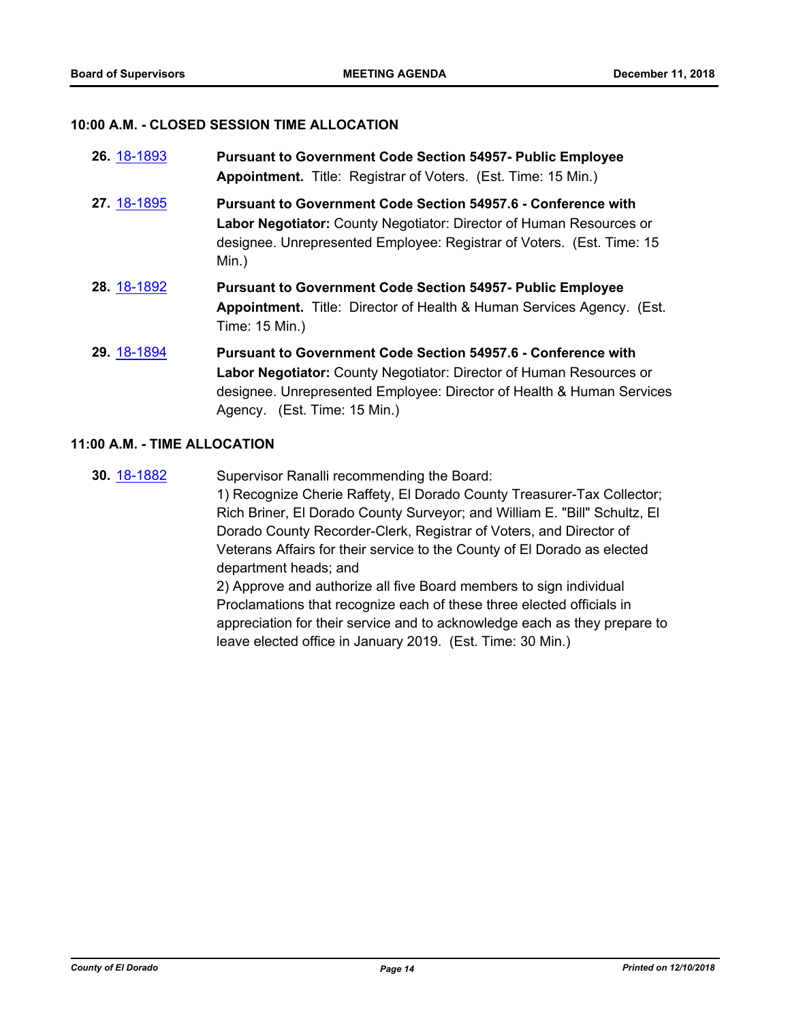#### **10:00 A.M. - CLOSED SESSION TIME ALLOCATION**

| 26. 18-1893 | <b>Pursuant to Government Code Section 54957- Public Employee</b><br>Appointment. Title: Registrar of Voters. (Est. Time: 15 Min.)                                                                                                                   |
|-------------|------------------------------------------------------------------------------------------------------------------------------------------------------------------------------------------------------------------------------------------------------|
| 27. 18-1895 | Pursuant to Government Code Section 54957.6 - Conference with<br>Labor Negotiator: County Negotiator: Director of Human Resources or<br>designee. Unrepresented Employee: Registrar of Voters. (Est. Time: 15<br>Min.)                               |
| 28. 18-1892 | <b>Pursuant to Government Code Section 54957- Public Employee</b><br>Appointment. Title: Director of Health & Human Services Agency. (Est.<br>Time: 15 Min.)                                                                                         |
| 29. 18-1894 | <b>Pursuant to Government Code Section 54957.6 - Conference with</b><br>Labor Negotiator: County Negotiator: Director of Human Resources or<br>designee. Unrepresented Employee: Director of Health & Human Services<br>Agency. (Est. Time: 15 Min.) |

#### **11:00 A.M. - TIME ALLOCATION**

**30.** [18-1882](http://eldorado.legistar.com/gateway.aspx?m=l&id=/matter.aspx?key=25232) Supervisor Ranalli recommending the Board: 1) Recognize Cherie Raffety, El Dorado County Treasurer-Tax Collector; Rich Briner, El Dorado County Surveyor; and William E. "Bill" Schultz, El Dorado County Recorder-Clerk, Registrar of Voters, and Director of Veterans Affairs for their service to the County of El Dorado as elected department heads; and 2) Approve and authorize all five Board members to sign individual Proclamations that recognize each of these three elected officials in appreciation for their service and to acknowledge each as they prepare to leave elected office in January 2019. (Est. Time: 30 Min.)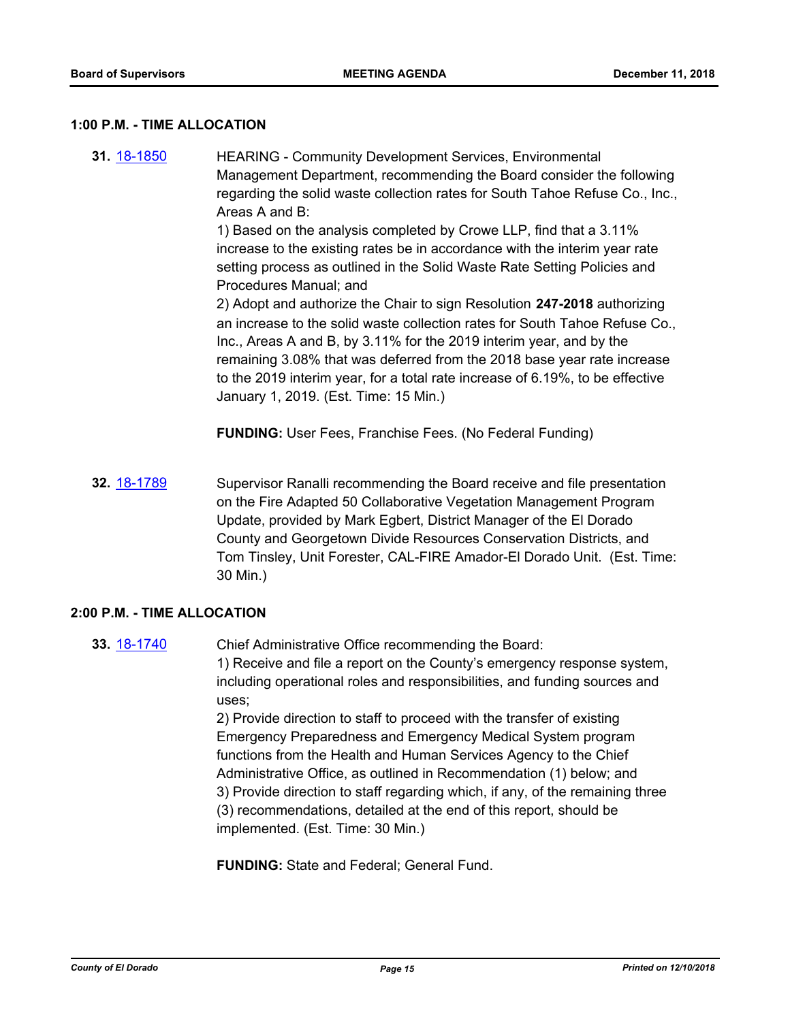#### **1:00 P.M. - TIME ALLOCATION**

**31.** [18-1850](http://eldorado.legistar.com/gateway.aspx?m=l&id=/matter.aspx?key=25200) HEARING - Community Development Services, Environmental Management Department, recommending the Board consider the following regarding the solid waste collection rates for South Tahoe Refuse Co., Inc., Areas A and B: 1) Based on the analysis completed by Crowe LLP, find that a 3.11% increase to the existing rates be in accordance with the interim year rate setting process as outlined in the Solid Waste Rate Setting Policies and Procedures Manual; and 2) Adopt and authorize the Chair to sign Resolution **247-2018** authorizing an increase to the solid waste collection rates for South Tahoe Refuse Co., Inc., Areas A and B, by 3.11% for the 2019 interim year, and by the remaining 3.08% that was deferred from the 2018 base year rate increase to the 2019 interim year, for a total rate increase of 6.19%, to be effective January 1, 2019. (Est. Time: 15 Min.)

**FUNDING:** User Fees, Franchise Fees. (No Federal Funding)

**32.** [18-1789](http://eldorado.legistar.com/gateway.aspx?m=l&id=/matter.aspx?key=25140) Supervisor Ranalli recommending the Board receive and file presentation on the Fire Adapted 50 Collaborative Vegetation Management Program Update, provided by Mark Egbert, District Manager of the El Dorado County and Georgetown Divide Resources Conservation Districts, and Tom Tinsley, Unit Forester, CAL-FIRE Amador-El Dorado Unit. (Est. Time: 30 Min.)

## **2:00 P.M. - TIME ALLOCATION**

**33.** [18-1740](http://eldorado.legistar.com/gateway.aspx?m=l&id=/matter.aspx?key=25091) Chief Administrative Office recommending the Board: 1) Receive and file a report on the County's emergency response system, including operational roles and responsibilities, and funding sources and uses;

> 2) Provide direction to staff to proceed with the transfer of existing Emergency Preparedness and Emergency Medical System program functions from the Health and Human Services Agency to the Chief Administrative Office, as outlined in Recommendation (1) below; and 3) Provide direction to staff regarding which, if any, of the remaining three (3) recommendations, detailed at the end of this report, should be implemented. (Est. Time: 30 Min.)

**FUNDING:** State and Federal; General Fund.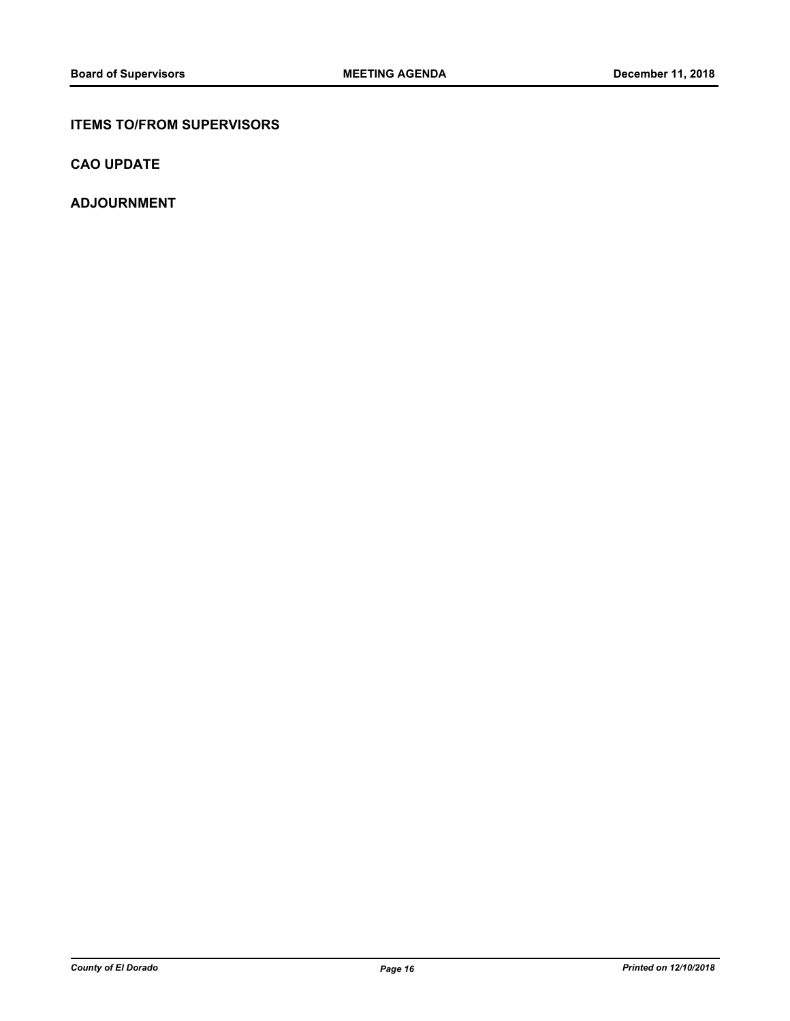## **ITEMS TO/FROM SUPERVISORS**

**CAO UPDATE**

**ADJOURNMENT**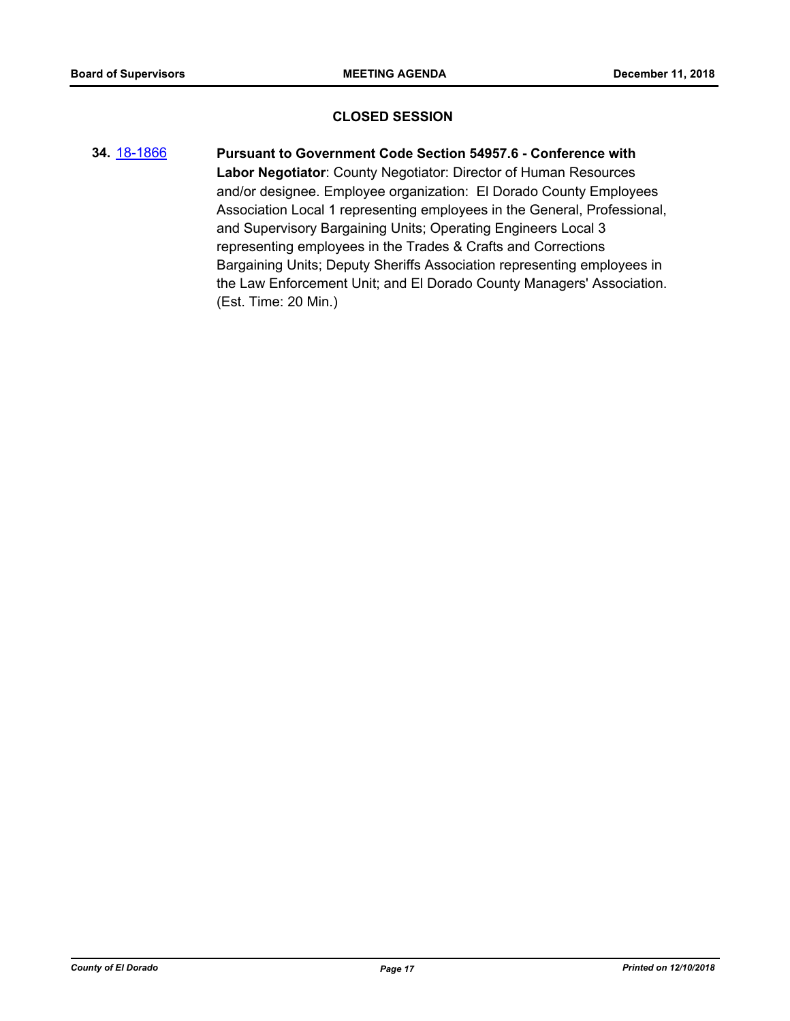## **CLOSED SESSION**

**34.** [18-1866](http://eldorado.legistar.com/gateway.aspx?m=l&id=/matter.aspx?key=25216) **Pursuant to Government Code Section 54957.6 - Conference with Labor Negotiator**: County Negotiator: Director of Human Resources and/or designee. Employee organization: El Dorado County Employees Association Local 1 representing employees in the General, Professional, and Supervisory Bargaining Units; Operating Engineers Local 3 representing employees in the Trades & Crafts and Corrections Bargaining Units; Deputy Sheriffs Association representing employees in the Law Enforcement Unit; and El Dorado County Managers' Association. (Est. Time: 20 Min.)